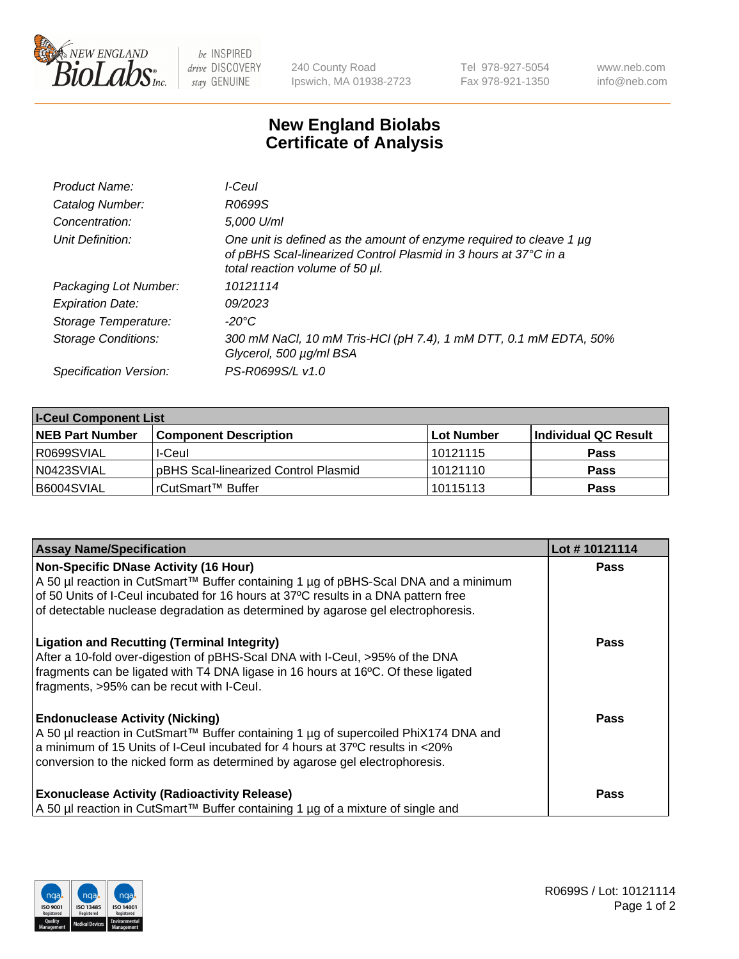

 $be$  INSPIRED drive DISCOVERY stay GENUINE

240 County Road Ipswich, MA 01938-2723 Tel 978-927-5054 Fax 978-921-1350 www.neb.com info@neb.com

## **New England Biolabs Certificate of Analysis**

| Product Name:           | I-Ceul                                                                                                                                                                         |
|-------------------------|--------------------------------------------------------------------------------------------------------------------------------------------------------------------------------|
| Catalog Number:         | R0699S                                                                                                                                                                         |
| Concentration:          | 5,000 U/ml                                                                                                                                                                     |
| Unit Definition:        | One unit is defined as the amount of enzyme required to cleave 1 $\mu$ g<br>of pBHS Scal-linearized Control Plasmid in 3 hours at 37°C in a<br>total reaction volume of 50 µl. |
| Packaging Lot Number:   | 10121114                                                                                                                                                                       |
| <b>Expiration Date:</b> | 09/2023                                                                                                                                                                        |
| Storage Temperature:    | -20°C                                                                                                                                                                          |
| Storage Conditions:     | 300 mM NaCl, 10 mM Tris-HCl (pH 7.4), 1 mM DTT, 0.1 mM EDTA, 50%<br>Glycerol, 500 µg/ml BSA                                                                                    |
| Specification Version:  | PS-R0699S/L v1.0                                                                                                                                                               |

| <b>I-Ceul Component List</b> |                                      |            |                      |  |
|------------------------------|--------------------------------------|------------|----------------------|--|
| <b>NEB Part Number</b>       | <b>Component Description</b>         | Lot Number | Individual QC Result |  |
| R0699SVIAL                   | I-Ceul                               | 10121115   | <b>Pass</b>          |  |
| N0423SVIAL                   | pBHS Scal-linearized Control Plasmid | 10121110   | <b>Pass</b>          |  |
| B6004SVIAL                   | rCutSmart™ Buffer                    | 10115113   | <b>Pass</b>          |  |

| <b>Assay Name/Specification</b>                                                                                                                                                                                                                                                               | Lot #10121114 |
|-----------------------------------------------------------------------------------------------------------------------------------------------------------------------------------------------------------------------------------------------------------------------------------------------|---------------|
| <b>Non-Specific DNase Activity (16 Hour)</b><br>A 50 µl reaction in CutSmart™ Buffer containing 1 µg of pBHS-Scal DNA and a minimum<br>of 50 Units of I-Ceul incubated for 16 hours at 37°C results in a DNA pattern free                                                                     | <b>Pass</b>   |
| of detectable nuclease degradation as determined by agarose gel electrophoresis.<br><b>Ligation and Recutting (Terminal Integrity)</b>                                                                                                                                                        | <b>Pass</b>   |
| After a 10-fold over-digestion of pBHS-Scal DNA with I-Ceul, >95% of the DNA<br>fragments can be ligated with T4 DNA ligase in 16 hours at 16°C. Of these ligated<br>fragments, >95% can be recut with I-Ceul.                                                                                |               |
| <b>Endonuclease Activity (Nicking)</b><br>A 50 µl reaction in CutSmart™ Buffer containing 1 µg of supercoiled PhiX174 DNA and<br>a minimum of 15 Units of I-Ceul incubated for 4 hours at 37°C results in <20%<br>conversion to the nicked form as determined by agarose gel electrophoresis. | <b>Pass</b>   |
| <b>Exonuclease Activity (Radioactivity Release)</b><br>A 50 µl reaction in CutSmart™ Buffer containing 1 µg of a mixture of single and                                                                                                                                                        | Pass          |